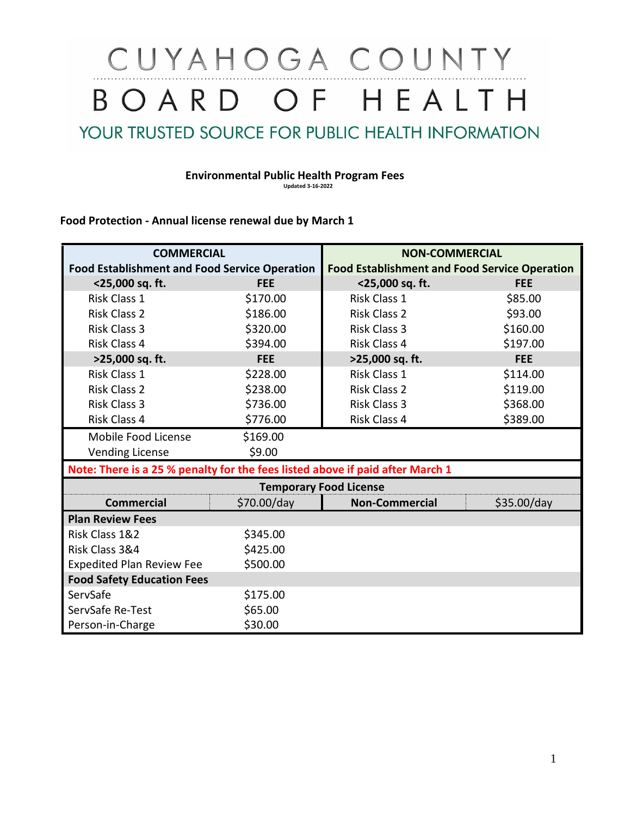# CUYAHOGA COUNTY BOARD OF HEALTH

YOUR TRUSTED SOURCE FOR PUBLIC HEALTH INFORMATION

#### **Environmental Public Health Program Fees Updated 3-16-2022**

### **Food Protection - Annual license renewal due by March 1**

| <b>COMMERCIAL</b>                                                             |             | <b>NON-COMMERCIAL</b>                                |             |
|-------------------------------------------------------------------------------|-------------|------------------------------------------------------|-------------|
| <b>Food Establishment and Food Service Operation</b>                          |             | <b>Food Establishment and Food Service Operation</b> |             |
| <25,000 sq. ft.                                                               | <b>FEE</b>  | <25,000 sq. ft.                                      | <b>FEE</b>  |
| Risk Class 1                                                                  | \$170.00    | <b>Risk Class 1</b>                                  | \$85.00     |
| <b>Risk Class 2</b>                                                           | \$186.00    | <b>Risk Class 2</b>                                  | \$93.00     |
| <b>Risk Class 3</b>                                                           | \$320.00    | <b>Risk Class 3</b>                                  | \$160.00    |
| Risk Class 4                                                                  | \$394.00    | <b>Risk Class 4</b>                                  | \$197.00    |
| >25,000 sq. ft.                                                               | <b>FEE</b>  | >25,000 sq. ft.                                      | <b>FEE</b>  |
| Risk Class 1                                                                  | \$228.00    | Risk Class 1                                         | \$114.00    |
| <b>Risk Class 2</b>                                                           | \$238.00    | <b>Risk Class 2</b>                                  | \$119.00    |
| <b>Risk Class 3</b>                                                           | \$736.00    | <b>Risk Class 3</b>                                  | \$368.00    |
| Risk Class 4                                                                  | \$776.00    | Risk Class 4                                         | \$389.00    |
| Mobile Food License                                                           | \$169.00    |                                                      |             |
| <b>Vending License</b>                                                        | \$9.00      |                                                      |             |
| Note: There is a 25 % penalty for the fees listed above if paid after March 1 |             |                                                      |             |
|                                                                               |             | <b>Temporary Food License</b>                        |             |
| <b>Commercial</b>                                                             | \$70.00/day | <b>Non-Commercial</b>                                | \$35.00/day |
| <b>Plan Review Fees</b>                                                       |             |                                                      |             |
| Risk Class 1&2                                                                | \$345.00    |                                                      |             |
| Risk Class 3&4                                                                | \$425.00    |                                                      |             |
| <b>Expedited Plan Review Fee</b>                                              | \$500.00    |                                                      |             |
| <b>Food Safety Education Fees</b>                                             |             |                                                      |             |
| ServSafe                                                                      | \$175.00    |                                                      |             |
| ServSafe Re-Test                                                              | \$65.00     |                                                      |             |
| Person-in-Charge                                                              | \$30.00     |                                                      |             |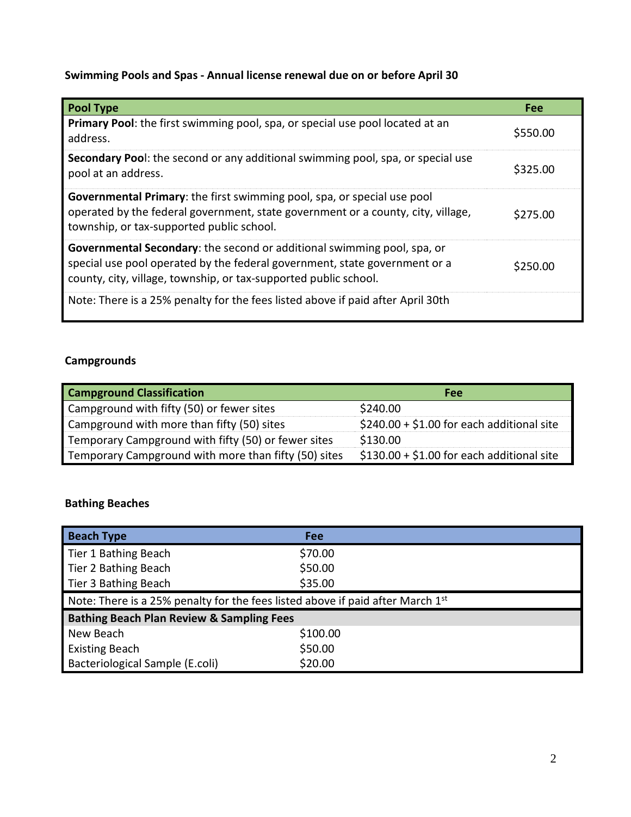## **Swimming Pools and Spas - Annual license renewal due on or before April 30**

| <b>Pool Type</b>                                                                                                                                                                                                                 | Fee      |
|----------------------------------------------------------------------------------------------------------------------------------------------------------------------------------------------------------------------------------|----------|
| Primary Pool: the first swimming pool, spa, or special use pool located at an<br>address.                                                                                                                                        | \$550.00 |
| Secondary Pool: the second or any additional swimming pool, spa, or special use<br>pool at an address.                                                                                                                           | \$325.00 |
| Governmental Primary: the first swimming pool, spa, or special use pool<br>operated by the federal government, state government or a county, city, village,<br>township, or tax-supported public school.                         | \$275.00 |
| <b>Governmental Secondary:</b> the second or additional swimming pool, spa, or<br>special use pool operated by the federal government, state government or a<br>county, city, village, township, or tax-supported public school. | \$250.00 |
| Note: There is a 25% penalty for the fees listed above if paid after April 30th                                                                                                                                                  |          |

## **Campgrounds**

| <b>Campground Classification</b>                     | Fee                                        |
|------------------------------------------------------|--------------------------------------------|
| Campground with fifty (50) or fewer sites            | \$240.00                                   |
| Campground with more than fifty (50) sites           | $$240.00 + $1.00$ for each additional site |
| Temporary Campground with fifty (50) or fewer sites  | \$130.00                                   |
| Temporary Campground with more than fifty (50) sites | $$130.00 + $1.00$ for each additional site |

## **Bathing Beaches**

| <b>Beach Type</b>                                                              | Fee      |  |  |
|--------------------------------------------------------------------------------|----------|--|--|
| Tier 1 Bathing Beach                                                           | \$70.00  |  |  |
| Tier 2 Bathing Beach                                                           | \$50.00  |  |  |
| Tier 3 Bathing Beach                                                           | \$35.00  |  |  |
| Note: There is a 25% penalty for the fees listed above if paid after March 1st |          |  |  |
| <b>Bathing Beach Plan Review &amp; Sampling Fees</b>                           |          |  |  |
| New Beach                                                                      | \$100.00 |  |  |
| <b>Existing Beach</b>                                                          | \$50.00  |  |  |
| Bacteriological Sample (E.coli)                                                | \$20.00  |  |  |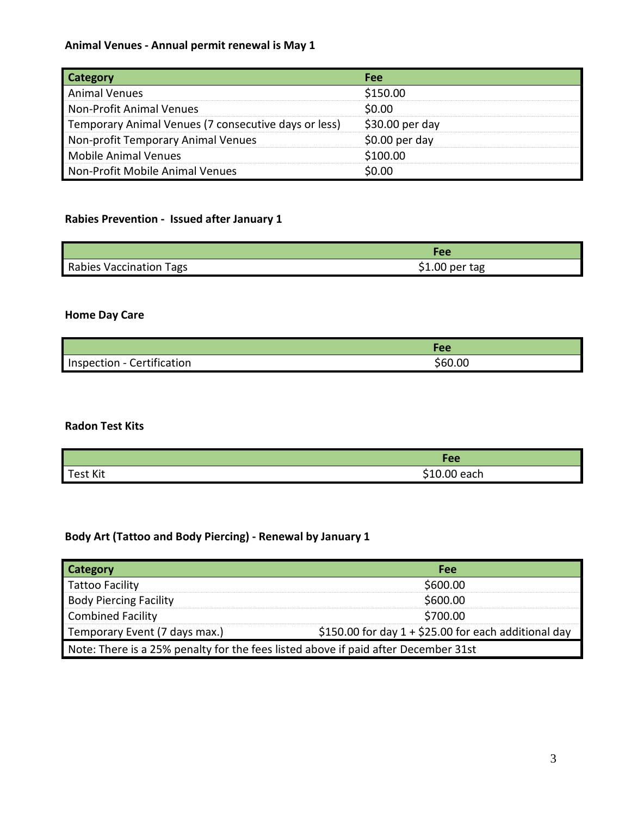## **Animal Venues - Annual permit renewal is May 1**

| <b>Category</b>                                      | <b>Fee</b>       |
|------------------------------------------------------|------------------|
| <b>Animal Venues</b>                                 | \$150.00         |
| Non-Profit Animal Venues                             | \$0.00           |
| Temporary Animal Venues (7 consecutive days or less) | $$30.00$ per day |
| Non-profit Temporary Animal Venues                   | $$0.00$ per day  |
| Mobile Animal Venues                                 | \$100.00         |
| Non-Profit Mobile Animal Venues                      | \$0.00           |

## **Rabies Prevention - Issued after January 1**

|                         | Fee             |
|-------------------------|-----------------|
| Rabies Vaccination Tags | $$1.00$ per tag |

## **Home Day Care**

|                            | Fee     |
|----------------------------|---------|
| Inspection - Certification | \$60.00 |

#### **Radon Test Kits**

|                 | Fee          |
|-----------------|--------------|
| <b>Test Kit</b> | \$10.00 each |

## **Body Art (Tattoo and Body Piercing) - Renewal by January 1**

| <b>Category</b>                                                                        | Fee      |  |
|----------------------------------------------------------------------------------------|----------|--|
| <b>Tattoo Facility</b>                                                                 | \$600.00 |  |
| <b>Body Piercing Facility</b>                                                          | \$600.00 |  |
| <b>Combined Facility</b>                                                               | \$700.00 |  |
| \$150.00 for day $1 + $25.00$ for each additional day<br>Temporary Event (7 days max.) |          |  |
| Note: There is a 25% penalty for the fees listed above if paid after December 31st     |          |  |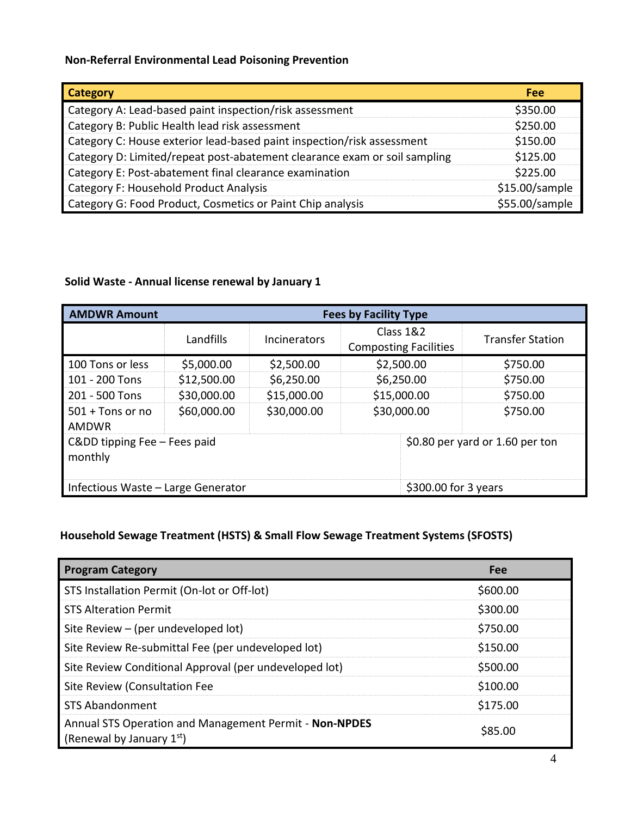## **Non-Referral Environmental Lead Poisoning Prevention**

| <b>Category</b>                                                           | Fee            |
|---------------------------------------------------------------------------|----------------|
| Category A: Lead-based paint inspection/risk assessment                   | \$350.00       |
| Category B: Public Health lead risk assessment                            | \$250.00       |
| Category C: House exterior lead-based paint inspection/risk assessment    | \$150.00       |
| Category D: Limited/repeat post-abatement clearance exam or soil sampling | \$125.00       |
| Category E: Post-abatement final clearance examination                    | \$225.00       |
| Category F: Household Product Analysis                                    | \$15.00/sample |
| Category G: Food Product, Cosmetics or Paint Chip analysis                | \$55.00/sample |

## **Solid Waste - Annual license renewal by January 1**

| <b>AMDWR Amount</b>                   | <b>Fees by Facility Type</b> |                     |                                           |                         |
|---------------------------------------|------------------------------|---------------------|-------------------------------------------|-------------------------|
|                                       | Landfills                    | <b>Incinerators</b> | Class 1&2<br><b>Composting Facilities</b> | <b>Transfer Station</b> |
| 100 Tons or less                      | \$5,000.00                   | \$2,500.00          | \$2,500.00                                | \$750.00                |
| 101 - 200 Tons                        | \$12,500.00                  | \$6,250.00          | \$6,250.00                                | \$750.00                |
| 201 - 500 Tons                        | \$30,000.00                  | \$15,000.00         | \$15,000.00                               | \$750.00                |
| $501 +$ Tons or no<br>AMDWR           | \$60,000.00                  | \$30,000.00         | \$30,000.00                               | \$750.00                |
| Cⅅ tipping Fee - Fees paid<br>monthly |                              |                     | \$0.80 per yard or 1.60 per ton           |                         |
| Infectious Waste - Large Generator    |                              |                     | \$300.00 for 3 years                      |                         |

## **Household Sewage Treatment (HSTS) & Small Flow Sewage Treatment Systems (SFOSTS)**

| <b>Program Category</b>                                                               | Fee      |
|---------------------------------------------------------------------------------------|----------|
| STS Installation Permit (On-lot or Off-lot)                                           | \$600.00 |
| <b>STS Alteration Permit</b>                                                          | \$300.00 |
| Site Review - (per undeveloped lot)                                                   | \$750.00 |
| Site Review Re-submittal Fee (per undeveloped lot)                                    | \$150.00 |
| Site Review Conditional Approval (per undeveloped lot)                                | \$500.00 |
| Site Review (Consultation Fee                                                         | \$100.00 |
| <b>STS Abandonment</b>                                                                | \$175.00 |
| Annual STS Operation and Management Permit - Non-NPDES<br>(Renewal by January $1st$ ) | \$85.00  |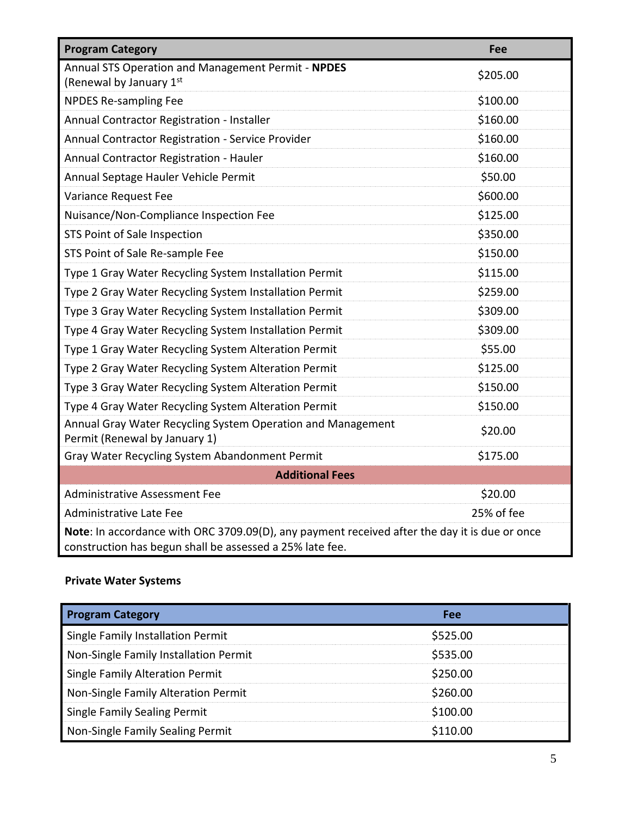| <b>Program Category</b>                                                                                                                                   | Fee        |  |  |
|-----------------------------------------------------------------------------------------------------------------------------------------------------------|------------|--|--|
| Annual STS Operation and Management Permit - NPDES<br>(Renewal by January 1st                                                                             | \$205.00   |  |  |
| <b>NPDES Re-sampling Fee</b>                                                                                                                              | \$100.00   |  |  |
| Annual Contractor Registration - Installer                                                                                                                | \$160.00   |  |  |
| Annual Contractor Registration - Service Provider                                                                                                         | \$160.00   |  |  |
| Annual Contractor Registration - Hauler                                                                                                                   | \$160.00   |  |  |
| Annual Septage Hauler Vehicle Permit                                                                                                                      | \$50.00    |  |  |
| Variance Request Fee                                                                                                                                      | \$600.00   |  |  |
| Nuisance/Non-Compliance Inspection Fee                                                                                                                    | \$125.00   |  |  |
| STS Point of Sale Inspection                                                                                                                              | \$350.00   |  |  |
| STS Point of Sale Re-sample Fee                                                                                                                           | \$150.00   |  |  |
| Type 1 Gray Water Recycling System Installation Permit                                                                                                    | \$115.00   |  |  |
| Type 2 Gray Water Recycling System Installation Permit                                                                                                    | \$259.00   |  |  |
| Type 3 Gray Water Recycling System Installation Permit                                                                                                    | \$309.00   |  |  |
| Type 4 Gray Water Recycling System Installation Permit                                                                                                    | \$309.00   |  |  |
| Type 1 Gray Water Recycling System Alteration Permit                                                                                                      | \$55.00    |  |  |
| Type 2 Gray Water Recycling System Alteration Permit                                                                                                      | \$125.00   |  |  |
| Type 3 Gray Water Recycling System Alteration Permit                                                                                                      | \$150.00   |  |  |
| Type 4 Gray Water Recycling System Alteration Permit                                                                                                      | \$150.00   |  |  |
| Annual Gray Water Recycling System Operation and Management<br>Permit (Renewal by January 1)                                                              | \$20.00    |  |  |
| Gray Water Recycling System Abandonment Permit                                                                                                            | \$175.00   |  |  |
| <b>Additional Fees</b>                                                                                                                                    |            |  |  |
| <b>Administrative Assessment Fee</b>                                                                                                                      | \$20.00    |  |  |
| <b>Administrative Late Fee</b>                                                                                                                            | 25% of fee |  |  |
| Note: In accordance with ORC 3709.09(D), any payment received after the day it is due or once<br>construction has begun shall be assessed a 25% late fee. |            |  |  |

## **Private Water Systems**

| <b>Program Category</b>               | <b>Fee</b> |
|---------------------------------------|------------|
| Single Family Installation Permit     | \$525.00   |
| Non-Single Family Installation Permit | \$535.00   |
| Single Family Alteration Permit       | \$250.00   |
| Non-Single Family Alteration Permit   | \$260.00   |
| <b>Single Family Sealing Permit</b>   | \$100.00   |
| Non-Single Family Sealing Permit      | \$110.00   |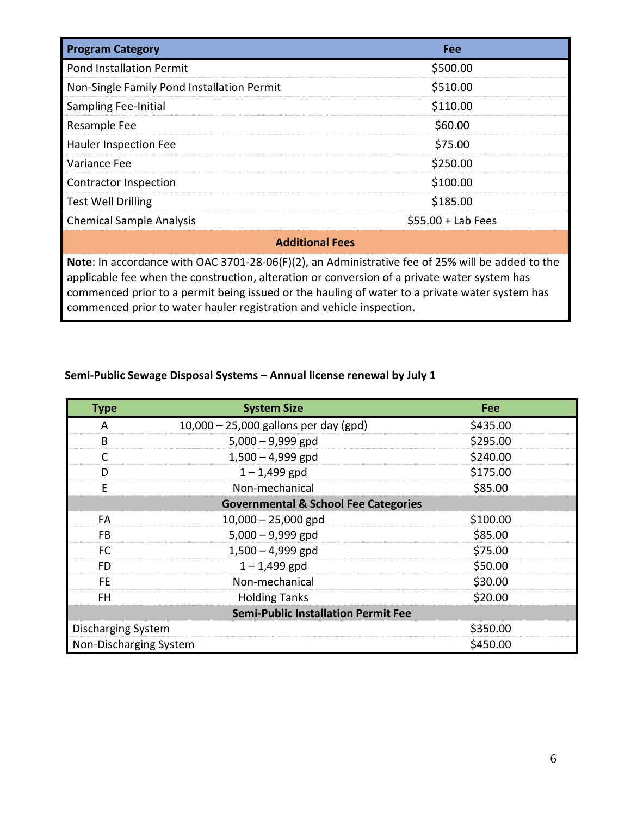| <b>Program Category</b>                                                                                 | <b>Fee</b>          |  |  |
|---------------------------------------------------------------------------------------------------------|---------------------|--|--|
| <b>Pond Installation Permit</b>                                                                         | \$500.00            |  |  |
| Non-Single Family Pond Installation Permit                                                              | \$510.00            |  |  |
| <b>Sampling Fee-Initial</b>                                                                             | \$110.00            |  |  |
| Resample Fee                                                                                            | \$60.00             |  |  |
| Hauler Inspection Fee                                                                                   | \$75.00             |  |  |
| Variance Fee                                                                                            | \$250.00            |  |  |
| Contractor Inspection                                                                                   | \$100.00            |  |  |
| <b>Test Well Drilling</b>                                                                               | \$185.00            |  |  |
| <b>Chemical Sample Analysis</b>                                                                         | $$55.00 + Lab Fees$ |  |  |
| <b>Additional Fees</b>                                                                                  |                     |  |  |
| <b>Note:</b> In accordance with OAC 3701-28-06(F)(2), an Administrative fee of 25% will be added to the |                     |  |  |

applicable fee when the construction, alteration or conversion of a private water system has commenced prior to a permit being issued or the hauling of water to a private water system has commenced prior to water hauler registration and vehicle inspection.

## **Semi-Public Sewage Disposal Systems – Annual license renewal by July 1**

| <b>Type</b>                                     | <b>System Size</b>                      | Fee      |  |  |
|-------------------------------------------------|-----------------------------------------|----------|--|--|
| A                                               | $10,000 - 25,000$ gallons per day (gpd) | \$435.00 |  |  |
| B                                               | $5,000 - 9,999$ gpd                     | \$295.00 |  |  |
| C                                               | $1,500 - 4,999$ gpd                     | \$240.00 |  |  |
| D                                               | $1 - 1,499$ gpd                         | \$175.00 |  |  |
| E                                               | Non-mechanical                          | \$85.00  |  |  |
| <b>Governmental &amp; School Fee Categories</b> |                                         |          |  |  |
| FA                                              | $10,000 - 25,000$ gpd                   | \$100.00 |  |  |
| <b>FB</b>                                       | $5,000 - 9,999$ gpd                     | \$85.00  |  |  |
| FC                                              | $1,500 - 4,999$ gpd                     | \$75.00  |  |  |
| <b>FD</b>                                       | $1 - 1,499$ gpd                         | \$50.00  |  |  |
| FE.                                             | Non-mechanical                          | \$30.00  |  |  |
| FH.                                             | <b>Holding Tanks</b>                    | \$20.00  |  |  |
| <b>Semi-Public Installation Permit Fee</b>      |                                         |          |  |  |
| <b>Discharging System</b>                       |                                         | \$350.00 |  |  |
| Non-Discharging System<br>\$450.00              |                                         |          |  |  |